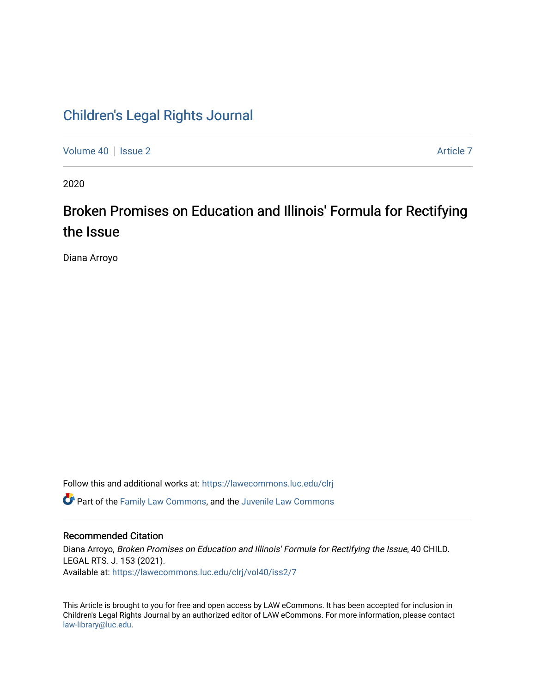## [Children's Legal Rights Journal](https://lawecommons.luc.edu/clrj)

[Volume 40](https://lawecommons.luc.edu/clrj/vol40) | [Issue 2](https://lawecommons.luc.edu/clrj/vol40/iss2) [Article 7](https://lawecommons.luc.edu/clrj/vol40/iss2/7) Article 7 Article 7 Article 7 Article 7 Article 7 Article 7

2020

# Broken Promises on Education and Illinois' Formula for Rectifying the Issue

Diana Arroyo

Follow this and additional works at: [https://lawecommons.luc.edu/clrj](https://lawecommons.luc.edu/clrj?utm_source=lawecommons.luc.edu%2Fclrj%2Fvol40%2Fiss2%2F7&utm_medium=PDF&utm_campaign=PDFCoverPages)

**C** Part of the [Family Law Commons,](http://network.bepress.com/hgg/discipline/602?utm_source=lawecommons.luc.edu%2Fclrj%2Fvol40%2Fiss2%2F7&utm_medium=PDF&utm_campaign=PDFCoverPages) and the Juvenile Law Commons

#### Recommended Citation

Diana Arroyo, Broken Promises on Education and Illinois' Formula for Rectifying the Issue, 40 CHILD. LEGAL RTS. J. 153 (2021). Available at: [https://lawecommons.luc.edu/clrj/vol40/iss2/7](https://lawecommons.luc.edu/clrj/vol40/iss2/7?utm_source=lawecommons.luc.edu%2Fclrj%2Fvol40%2Fiss2%2F7&utm_medium=PDF&utm_campaign=PDFCoverPages) 

This Article is brought to you for free and open access by LAW eCommons. It has been accepted for inclusion in Children's Legal Rights Journal by an authorized editor of LAW eCommons. For more information, please contact [law-library@luc.edu](mailto:law-library@luc.edu).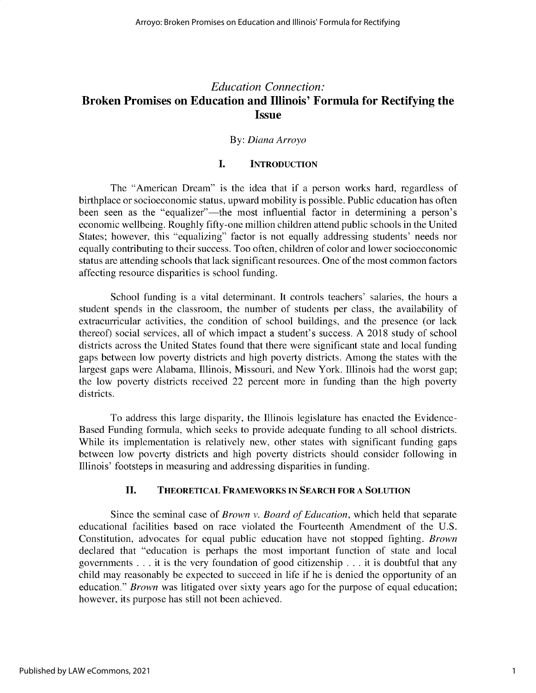### *Education Connection:* **Broken Promises on Education and Illinois' Formula for Rectifying the Issue**

#### By: *Diana Arroyo*

#### I. **INTRODUCTION**

The "American Dream" is the idea that if a person works hard, regardless of birthplace or socioeconomic status, upward mobility is possible. Public education has often been seen as the "equalizer"—the most influential factor in determining a person's economic wellbeing. Roughly fifty-one million children attend public schools in the United States; however, this "equalizing" factor is not equally addressing students' needs nor equally contributing to their success. Too often, children of color and lower socioeconomic status are attending schools that lack significant resources. One of the most common factors affecting resource disparities is school funding.

School funding is a vital determinant. It controls teachers' salaries, the hours a student spends in the classroom, the number of students per class, the availability of extracurricular activities, the condition of school buildings, and the presence (or lack thereof) social services, all of which impact a student's success. A 2018 study of school districts across the United States found that there were significant state and local funding gaps between low poverty districts and high poverty districts. Among the states with the largest gaps were Alabama, Illinois, Missouri, and New York. Illinois had the worst gap; the low poverty districts received 22 percent more in funding than the high poverty districts.

To address this large disparity, the Illinois legislature has enacted the Evidence-Based Funding formula, which seeks to provide adequate funding to all school districts. While its implementation is relatively new, other states with significant funding gaps between low poverty districts and high poverty districts should consider following in Illinois' footsteps in measuring and addressing disparities in funding.

#### **II. THEORETICAL FRAMEWORKS IN SEARCH FOR A SOLUTION**

Since the seminal case of *Brown v. Board of Education,* which held that separate educational facilities based on race violated the Fourteenth Amendment of the U.S. Constitution, advocates for equal public education have not stopped fighting. *Brown* declared that "education is perhaps the most important function of state and local governments . . . **it** is the very foundation of good citizenship . . . it is doubtful that any child may reasonably be expected to succeed in life if he is denied the opportunity of an education." *Brown* was litigated over sixty years ago for the purpose of equal education; however, its purpose has still not been achieved.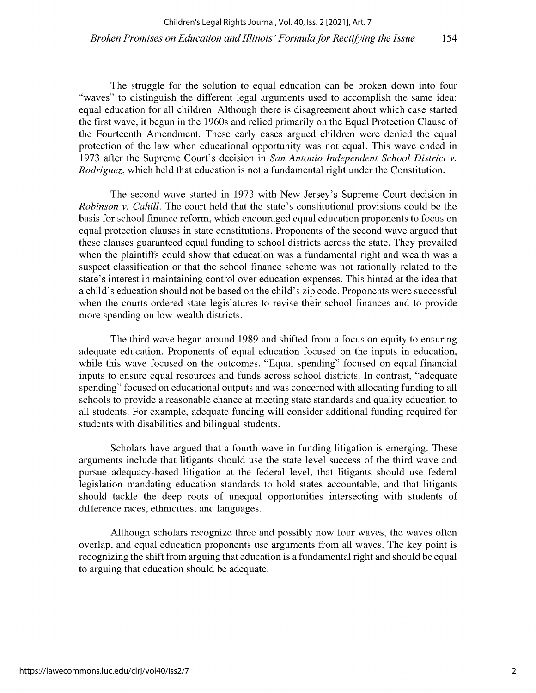The struggle for the solution to equal education can be broken down into four "waves" to distinguish the different legal arguments used to accomplish the same idea: equal education for all children. Although there is disagreement about which case started the first wave, it begun in the 1960s and relied primarily on the Equal Protection Clause of the Fourteenth Amendment. These early cases argued children were denied the equal protection of the law when educational opportunity was not equal. This wave ended in 1973 after the Supreme Court's decision in *San Antonio Independent School District v. Rodriguez,* which held that education is not a fundamental right under the Constitution.

The second wave started in 1973 with New Jersey's Supreme Court decision in *Robinson v. Cahill.* The court held that the state's constitutional provisions could be the basis for school finance reform, which encouraged equal education proponents to focus on equal protection clauses in state constitutions. Proponents of the second wave argued that these clauses guaranteed equal funding to school districts across the state. They prevailed when the plaintiffs could show that education was a fundamental right and wealth was a suspect classification or that the school finance scheme was not rationally related to the state's interest in maintaining control over education expenses. This hinted at the idea that a child's education should not be based on the child's zip code. Proponents were successful when the courts ordered state legislatures to revise their school finances and to provide more spending on low-wealth districts.

The third wave began around 1989 and shifted from a focus on equity to ensuring adequate education. Proponents of equal education focused on the inputs in education, while this wave focused on the outcomes. "Equal spending" focused on equal financial inputs to ensure equal resources and funds across school districts. In contrast, "adequate spending" focused on educational outputs and was concerned with allocating funding to all schools to provide a reasonable chance at meeting state standards and quality education to all students. For example, adequate funding will consider additional funding required for students with disabilities and bilingual students.

Scholars have argued that a fourth wave in funding litigation is emerging. These arguments include that litigants should use the state-level success of the third wave and pursue adequacy-based litigation at the federal level, that litigants should use federal legislation mandating education standards to hold states accountable, and that litigants should tackle the deep roots of unequal opportunities intersecting with students of difference races, ethnicities, and languages.

Although scholars recognize three and possibly now four waves, the waves often overlap, and equal education proponents use arguments from all waves. The key point is recognizing the shift from arguing that education is a fundamental right and should be equal to arguing that education should be adequate.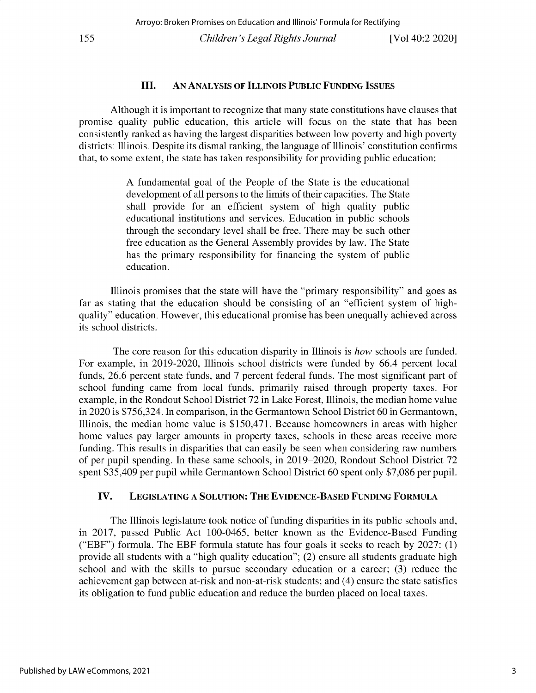#### **III. AN ANALYSIS OF ILLINOIS PUBLIC FUNDING ISSUES**

**Although it is important to recognize that many state constitutions have clauses that** promise quality public education, this article will focus on the state that has been **consistently ranked as having the largest disparities between low poverty and high poverty districts: Illinois. Despite its dismal ranking, the language of Illinois' constitution confirms that, to some extent, the state has taken responsibility for providing public education:**

> A fundamental goal of the People of the State is the educational development of all persons to the limits of their capacities. The State shall provide for an efficient system of high quality public **educational institutions and services. Education in public schools** through the secondary level shall be free. There may be such other free education as the General Assembly provides by law. The State has the primary responsibility for financing the system of public **education.**

**Illinois promises that the state will have the "primary responsibility" and goes as far as stating that the education should be consisting of an "efficient system of highquality" education. However, this educational promise has been unequally achieved across** its school districts.

**The core reason for this education disparity in Illinois is** *how* **schools are funded.** For example, in 2019-2020, Illinois school districts were funded by 66.4 percent local funds, 26.6 percent state funds, and 7 percent federal funds. The most significant part of **school funding came from local funds, primarily raised through property taxes. For** example, in the Rondout School District 72 in Lake Forest, Illinois, the median home value **in 2020 is** *\$756,324.* **In comparison, in the Germantown School District 60 in Germantown, Illinois, the median home value** is \$150,471. **Because homeowners in areas with higher home values pay larger amounts in property taxes, schools in these areas receive more funding. This results in disparities that can easily be seen when considering raw numbers of per pupil spending. In these same schools, in 2019-2020, Rondout School District 72** spent \$35,409 per pupil while Germantown School District 60 spent only \$7,086 per pupil.

#### **IV. LEGISLATING A SOLUTION: THE EVIDENCE-BASED FUNDING FORMULA**

The Illinois legislature took notice of funding disparities in its public schools and, in 2017, passed Public Act 100-0465, better known as the Evidence-Based Funding ("EBF") formula. The EBF formula statute has four goals it seeks to reach by 2027: (1) **provide all students with a "high quality education"; (2) ensure all students graduate high school and with the skills to pursue secondary education or a career; (3) reduce the achievement gap between at-risk and non-at-risk students; and (4) ensure the state satisfies its obligation to fund public education and reduce the burden placed on local taxes.**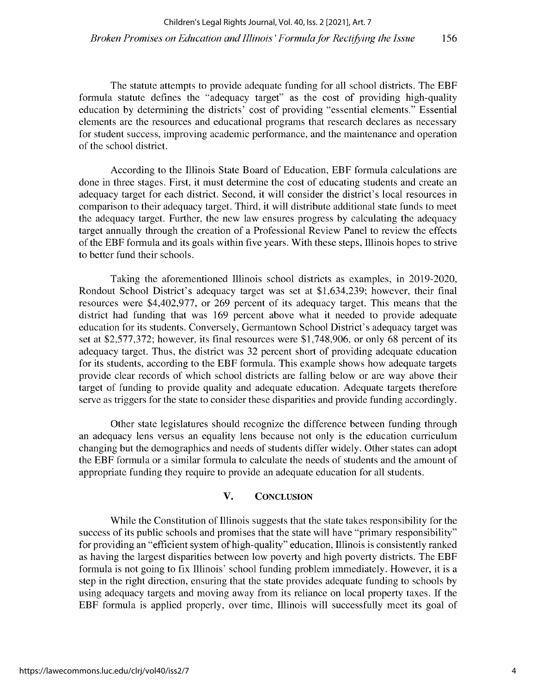The statute attempts to provide adequate funding for all school districts. The EBF formula statute defines the "adequacy target" as the cost of providing high-quality education by determining the districts' cost of providing "essential elements." Essential elements are the resources and educational programs that research declares as necessary for student success, improving academic performance, and the maintenance and operation of the school district.

According to the Illinois State Board of Education, EBF formula calculations are done in three stages. First, it must determine the cost of educating students and create an adequacy target for each district. Second, it will consider the district's local resources in comparison to their adequacy target. Third, it will distribute additional state funds to meet the adequacy target. Further, the new law ensures progress by calculating the adequacy target annually through the creation of a Professional Review Panel to review the effects of the EBF formula and its goals within five years. With these steps, Illinois hopes to strive to better fund their schools.

Taking the aforementioned Illinois school districts as examples, in 2019-2020, Rondout School District's adequacy target was set at \$1,634,239; however, their final resources were \$4,402,977, or 269 percent of its adequacy target. This means that the district had funding that was 169 percent above what it needed to provide adequate education for its students. Conversely, Germantown School District's adequacy target was set at \$2,577,372; however, its final resources were \$1,748,906, or only 68 percent of its adequacy target. Thus, the district was 32 percent short of providing adequate education for its students, according to the EBF formula. This example shows how adequate targets provide clear records of which school districts are falling below or are way above their target of funding to provide quality and adequate education. Adequate targets therefore serve as triggers for the state to consider these disparities and provide funding accordingly.

Other state legislatures should recognize the difference between funding through an adequacy lens versus an equality lens because not only is the education curriculum changing but the demographics and needs of students differ widely. Other states can adopt the EBF formula or a similar formula to calculate the needs of students and the amount of appropriate funding they require to provide an adequate education for all students.

#### V. CONCLUSION

While the Constitution of Illinois suggests that the state takes responsibility for the success of its public schools and promises that the state will have "primary responsibility" for providing an "efficient system of high-quality" education, Illinois is consistently ranked as having the largest disparities between low poverty and high poverty districts. The EBF formula is not going to fix Illinois' school funding problem immediately. However, it is a step in the right direction, ensuring that the state provides adequate funding to schools by using adequacy targets and moving away from its reliance on local property taxes. If the EBF formula is applied properly, over time, Illinois will successfully meet its goal of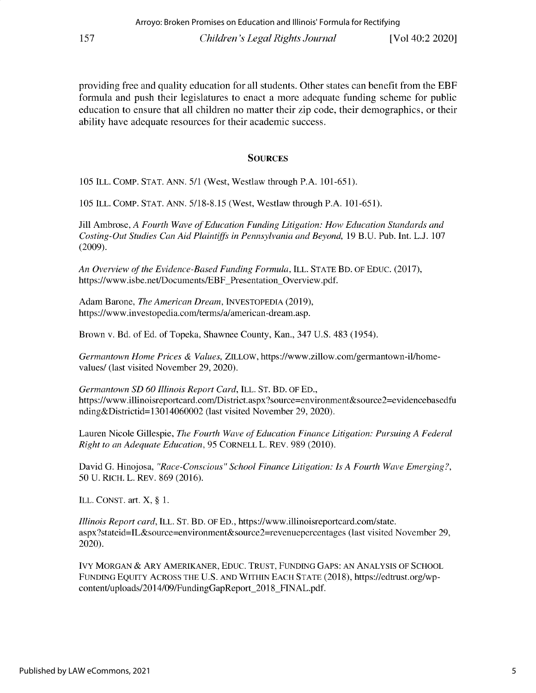providing free and quality education for all students. Other states can benefit from the EBF **formula and push their legislatures to enact a more adequate funding scheme for public education to ensure that all children no matter their zip code, their demographics, or their ability have adequate resources for their academic success.**

#### **SOURCES**

105 ILL. COMP. STAT. ANN. 5/1 (West, Westlaw through P.A. 101-651).

105 ILL. COMP. STAT. ANN. 5/18-8.15 (West, Westlaw through P.A. 101-651).

Jill Ambrose, *A Fourth Wave of Education Funding Litigation: How Education Standards and Costing-Out Studies Can Aid Plaintiffs in Pennsylvania and Beyond,* 19 B.U. Pub. Int. L.J. 107 (2009).

*An Overview of the Evidence-Based Funding Formula,* ILL. STATE BD. OF EDUC. (2017), https://www.isbe.net/Documents/EBF Presentation Overview.pdf.

Adam Barone, *The American Dream,* INVESTOPEDIA (2019), https://www.investopedia.com/terms/a/american-dream.asp.

Brown v. Bd. of Ed. of Topeka, Shawnee County, Kan., 347 U.S. 483 (1954).

Germantown Home Prices & Values, ZILLOW, https://www.zillow.com/germantown-il/home**values/ (last visited November 29, 2020).**

*Germantown SD 60 Illinois Report Card,* **ILL. ST. BD. OF ED., https://www.illinoisreportcard. con/District. aspx?source=environment&source2=evidencebasedfu** nding&Districtid=13014060002 (last visited November 29, 2020).

Lauren Nicole Gillespie, *The Fourth Wave of Education Finance Litigation: Pursuing A Federal Right to an Adequate Education,* 95 CORNELL L. REV. 989 (2010).

David G. Hinojosa, *"Race-Conscious" School Finance Litigation: Is A Fourth Wave Emerging?,* 50 U. RICH. L. REV. 869 (2016).

ILL. CONST. art. X, § 1.

*Illinois Report card, ILL. ST. BD. OF ED., https://www.illinoisreportcard.com/state.* **aspx?stateid=IL&source=environment&source2=revenuepercentages (last visited November 29,** 2020).

IVY MORGAN & ARY AMERIKANER, EDUC. TRUST, FUNDING GAPS: AN ANALYSIS OF SCHOOL FUNDING EQUITY ACROSS THE U.S. AND WITHIN EACH STATE (2018), https://edtrust.org/wp**content/uploads/2014/09/FundingGapReport\_2018\_FINAL.pdf.**